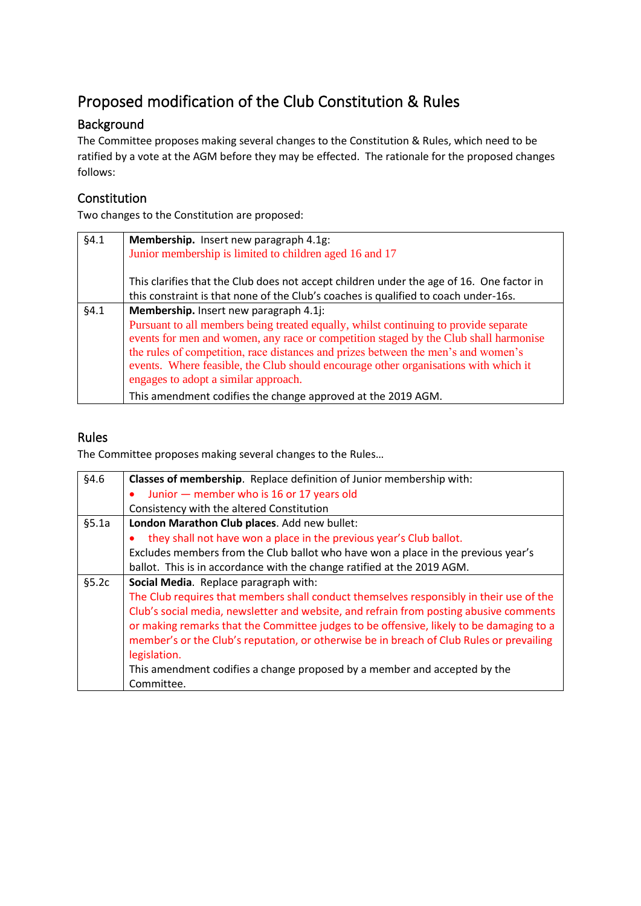## Proposed modification of the Club Constitution & Rules

## Background

The Committee proposes making several changes to the Constitution & Rules, which need to be ratified by a vote at the AGM before they may be effected. The rationale for the proposed changes follows:

## **Constitution**

Two changes to the Constitution are proposed:

| §4.1 | Membership. Insert new paragraph 4.1g:                                                   |
|------|------------------------------------------------------------------------------------------|
|      | Junior membership is limited to children aged 16 and 17                                  |
|      |                                                                                          |
|      | This clarifies that the Club does not accept children under the age of 16. One factor in |
|      | this constraint is that none of the Club's coaches is qualified to coach under-16s.      |
| §4.1 | Membership. Insert new paragraph 4.1j:                                                   |
|      | Pursuant to all members being treated equally, whilst continuing to provide separate     |
|      | events for men and women, any race or competition staged by the Club shall harmonise     |
|      | the rules of competition, race distances and prizes between the men's and women's        |
|      | events. Where feasible, the Club should encourage other organisations with which it      |
|      | engages to adopt a similar approach.                                                     |
|      | This amendment codifies the change approved at the 2019 AGM.                             |

## Rules

The Committee proposes making several changes to the Rules…

| §4.6  | Classes of membership. Replace definition of Junior membership with:                     |
|-------|------------------------------------------------------------------------------------------|
|       | Junior - member who is 16 or 17 years old                                                |
|       | Consistency with the altered Constitution                                                |
| §5.1a | London Marathon Club places. Add new bullet:                                             |
|       | they shall not have won a place in the previous year's Club ballot.                      |
|       | Excludes members from the Club ballot who have won a place in the previous year's        |
|       | ballot. This is in accordance with the change ratified at the 2019 AGM.                  |
| §5.2c | Social Media. Replace paragraph with:                                                    |
|       | The Club requires that members shall conduct themselves responsibly in their use of the  |
|       | Club's social media, newsletter and website, and refrain from posting abusive comments   |
|       | or making remarks that the Committee judges to be offensive, likely to be damaging to a  |
|       | member's or the Club's reputation, or otherwise be in breach of Club Rules or prevailing |
|       | legislation.                                                                             |
|       | This amendment codifies a change proposed by a member and accepted by the                |
|       | Committee.                                                                               |